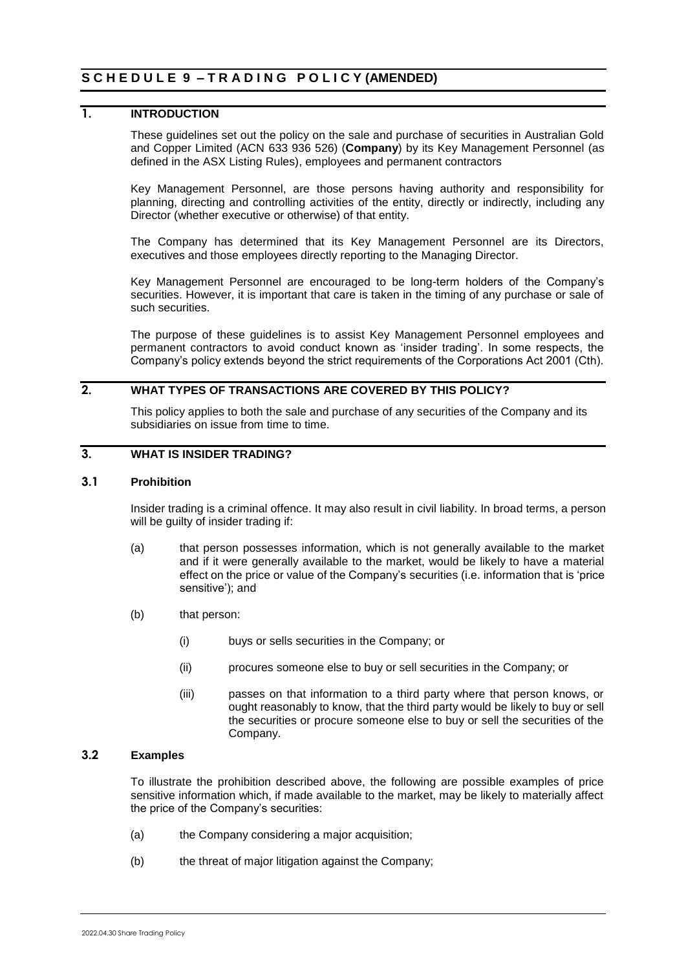# **1. INTRODUCTION**

These guidelines set out the policy on the sale and purchase of securities in Australian Gold and Copper Limited (ACN 633 936 526) (**Company**) by its Key Management Personnel (as defined in the ASX Listing Rules), employees and permanent contractors

Key Management Personnel, are those persons having authority and responsibility for planning, directing and controlling activities of the entity, directly or indirectly, including any Director (whether executive or otherwise) of that entity.

The Company has determined that its Key Management Personnel are its Directors, executives and those employees directly reporting to the Managing Director.

Key Management Personnel are encouraged to be long-term holders of the Company's securities. However, it is important that care is taken in the timing of any purchase or sale of such securities.

The purpose of these guidelines is to assist Key Management Personnel employees and permanent contractors to avoid conduct known as 'insider trading'. In some respects, the Company's policy extends beyond the strict requirements of the Corporations Act 2001 (Cth).

## **2. WHAT TYPES OF TRANSACTIONS ARE COVERED BY THIS POLICY?**

This policy applies to both the sale and purchase of any securities of the Company and its subsidiaries on issue from time to time.

### **3. WHAT IS INSIDER TRADING?**

#### **3.1 Prohibition**

Insider trading is a criminal offence. It may also result in civil liability. In broad terms, a person will be guilty of insider trading if:

- (a) that person possesses information, which is not generally available to the market and if it were generally available to the market, would be likely to have a material effect on the price or value of the Company's securities (i.e. information that is 'price sensitive'); and
- (b) that person:
	- (i) buys or sells securities in the Company; or
	- (ii) procures someone else to buy or sell securities in the Company; or
	- (iii) passes on that information to a third party where that person knows, or ought reasonably to know, that the third party would be likely to buy or sell the securities or procure someone else to buy or sell the securities of the Company.

## **3.2 Examples**

To illustrate the prohibition described above, the following are possible examples of price sensitive information which, if made available to the market, may be likely to materially affect the price of the Company's securities:

- (a) the Company considering a major acquisition;
- (b) the threat of major litigation against the Company;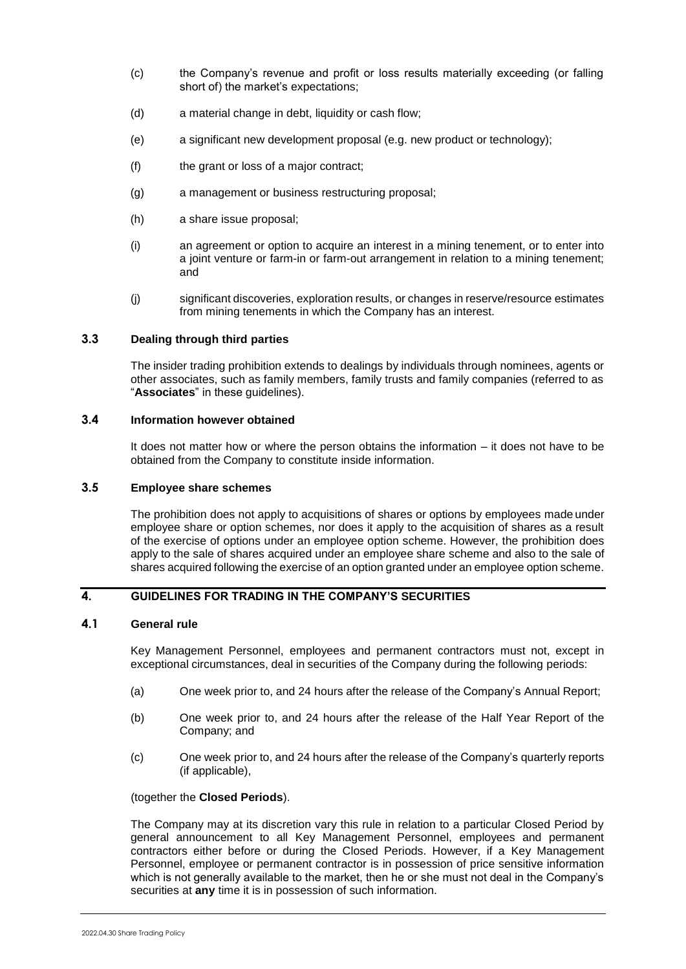- (c) the Company's revenue and profit or loss results materially exceeding (or falling short of) the market's expectations;
- (d) a material change in debt, liquidity or cash flow;
- (e) a significant new development proposal (e.g. new product or technology);
- (f) the grant or loss of a major contract;
- (g) a management or business restructuring proposal;
- (h) a share issue proposal;
- (i) an agreement or option to acquire an interest in a mining tenement, or to enter into a joint venture or farm-in or farm-out arrangement in relation to a mining tenement; and
- (j) significant discoveries, exploration results, or changes in reserve/resource estimates from mining tenements in which the Company has an interest.

### **3.3 Dealing through third parties**

The insider trading prohibition extends to dealings by individuals through nominees, agents or other associates, such as family members, family trusts and family companies (referred to as "**Associates**" in these guidelines).

#### **3.4 Information however obtained**

It does not matter how or where the person obtains the information – it does not have to be obtained from the Company to constitute inside information.

### **3.5 Employee share schemes**

The prohibition does not apply to acquisitions of shares or options by employees made under employee share or option schemes, nor does it apply to the acquisition of shares as a result of the exercise of options under an employee option scheme. However, the prohibition does apply to the sale of shares acquired under an employee share scheme and also to the sale of shares acquired following the exercise of an option granted under an employee option scheme.

## **4. GUIDELINES FOR TRADING IN THE COMPANY'S SECURITIES**

### <span id="page-1-0"></span>**4.1 General rule**

Key Management Personnel, employees and permanent contractors must not, except in exceptional circumstances, deal in securities of the Company during the following periods:

- (a) One week prior to, and 24 hours after the release of the Company's Annual Report;
- (b) One week prior to, and 24 hours after the release of the Half Year Report of the Company; and
- (c) One week prior to, and 24 hours after the release of the Company's quarterly reports (if applicable),

(together the **Closed Periods**).

The Company may at its discretion vary this rule in relation to a particular Closed Period by general announcement to all Key Management Personnel, employees and permanent contractors either before or during the Closed Periods. However, if a Key Management Personnel, employee or permanent contractor is in possession of price sensitive information which is not generally available to the market, then he or she must not deal in the Company's securities at **any** time it is in possession of such information.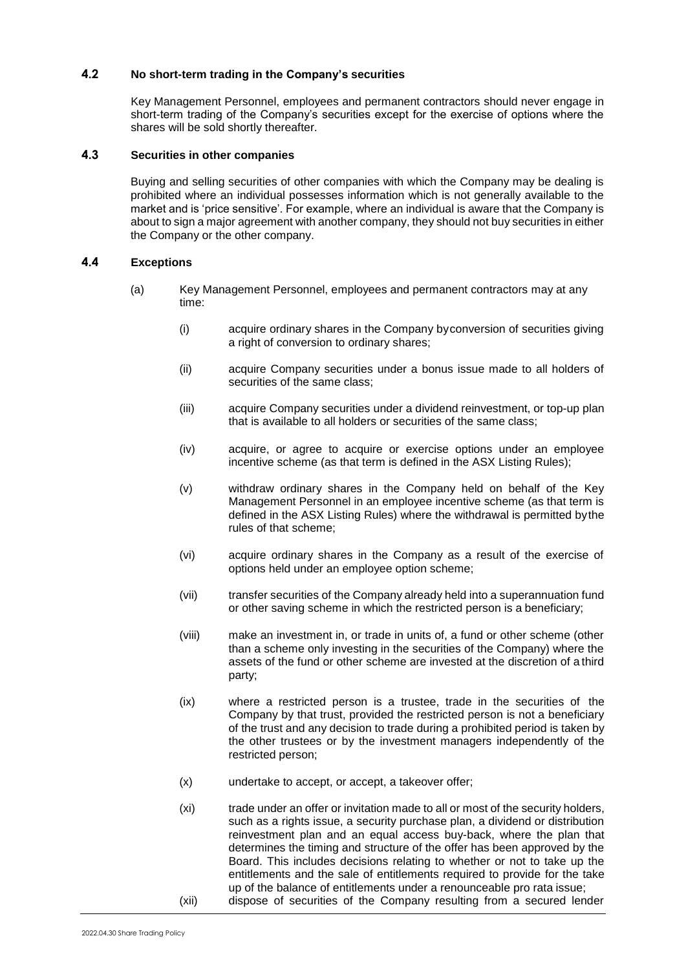### **4.2 No short-term trading in the Company's securities**

Key Management Personnel, employees and permanent contractors should never engage in short-term trading of the Company's securities except for the exercise of options where the shares will be sold shortly thereafter.

#### **4.3 Securities in other companies**

Buying and selling securities of other companies with which the Company may be dealing is prohibited where an individual possesses information which is not generally available to the market and is 'price sensitive'. For example, where an individual is aware that the Company is about to sign a major agreement with another company, they should not buy securities in either the Company or the other company.

### **4.4 Exceptions**

- (a) Key Management Personnel, employees and permanent contractors may at any time:
	- (i) acquire ordinary shares in the Company byconversion of securities giving a right of conversion to ordinary shares;
	- (ii) acquire Company securities under a bonus issue made to all holders of securities of the same class:
	- (iii) acquire Company securities under a dividend reinvestment, or top-up plan that is available to all holders or securities of the same class;
	- (iv) acquire, or agree to acquire or exercise options under an employee incentive scheme (as that term is defined in the ASX Listing Rules);
	- (v) withdraw ordinary shares in the Company held on behalf of the Key Management Personnel in an employee incentive scheme (as that term is defined in the ASX Listing Rules) where the withdrawal is permitted bythe rules of that scheme;
	- (vi) acquire ordinary shares in the Company as a result of the exercise of options held under an employee option scheme;
	- (vii) transfer securities of the Company already held into a superannuation fund or other saving scheme in which the restricted person is a beneficiary;
	- (viii) make an investment in, or trade in units of, a fund or other scheme (other than a scheme only investing in the securities of the Company) where the assets of the fund or other scheme are invested at the discretion of a third party;
	- (ix) where a restricted person is a trustee, trade in the securities of the Company by that trust, provided the restricted person is not a beneficiary of the trust and any decision to trade during a prohibited period is taken by the other trustees or by the investment managers independently of the restricted person;
	- (x) undertake to accept, or accept, a takeover offer;
	- (xi) trade under an offer or invitation made to all or most of the security holders, such as a rights issue, a security purchase plan, a dividend or distribution reinvestment plan and an equal access buy-back, where the plan that determines the timing and structure of the offer has been approved by the Board. This includes decisions relating to whether or not to take up the entitlements and the sale of entitlements required to provide for the take up of the balance of entitlements under a renounceable pro rata issue; (xii) dispose of securities of the Company resulting from a secured lender
	-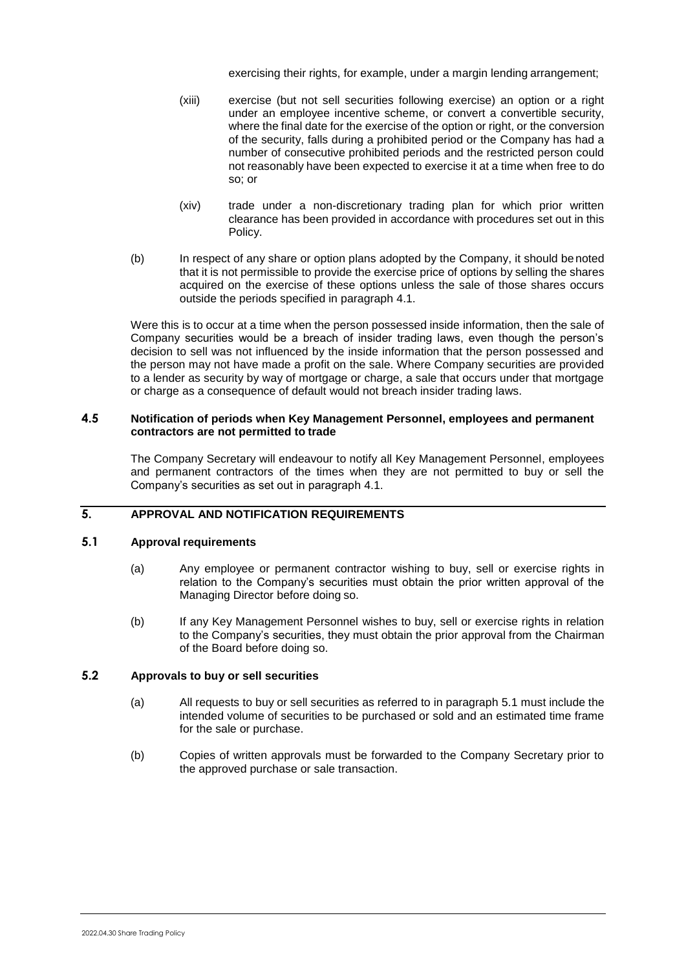exercising their rights, for example, under a margin lending arrangement;

- (xiii) exercise (but not sell securities following exercise) an option or a right under an employee incentive scheme, or convert a convertible security, where the final date for the exercise of the option or right, or the conversion of the security, falls during a prohibited period or the Company has had a number of consecutive prohibited periods and the restricted person could not reasonably have been expected to exercise it at a time when free to do so; or
- (xiv) trade under a non-discretionary trading plan for which prior written clearance has been provided in accordance with procedures set out in this Policy.
- (b) In respect of any share or option plans adopted by the Company, it should benoted that it is not permissible to provide the exercise price of options by selling the shares acquired on the exercise of these options unless the sale of those shares occurs outside the periods specified in paragraph [4.1.](#page-1-0)

Were this is to occur at a time when the person possessed inside information, then the sale of Company securities would be a breach of insider trading laws, even though the person's decision to sell was not influenced by the inside information that the person possessed and the person may not have made a profit on the sale. Where Company securities are provided to a lender as security by way of mortgage or charge, a sale that occurs under that mortgage or charge as a consequence of default would not breach insider trading laws.

#### **4.5 Notification of periods when Key Management Personnel, employees and permanent contractors are not permitted to trade**

The Company Secretary will endeavour to notify all Key Management Personnel, employees and permanent contractors of the times when they are not permitted to buy or sell the Company's securities as set out in paragraph [4.1.](#page-1-0)

## **5. APPROVAL AND NOTIFICATION REQUIREMENTS**

### <span id="page-3-0"></span>**5.1 Approval requirements**

- (a) Any employee or permanent contractor wishing to buy, sell or exercise rights in relation to the Company's securities must obtain the prior written approval of the Managing Director before doing so.
- (b) If any Key Management Personnel wishes to buy, sell or exercise rights in relation to the Company's securities, they must obtain the prior approval from the Chairman of the Board before doing so.

## <span id="page-3-1"></span>**5.2 Approvals to buy or sell securities**

- (a) All requests to buy or sell securities as referred to in paragraph [5.1](#page-3-0) must include the intended volume of securities to be purchased or sold and an estimated time frame for the sale or purchase.
- (b) Copies of written approvals must be forwarded to the Company Secretary prior to the approved purchase or sale transaction.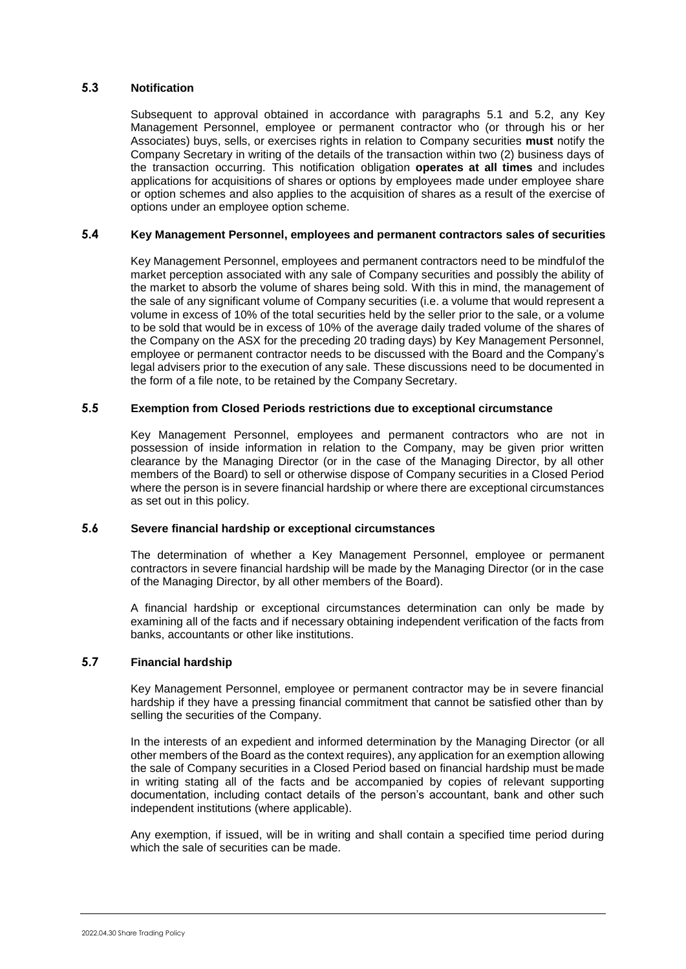### **5.3 Notification**

Subsequent to approval obtained in accordance with paragraphs [5.1](#page-3-0) and [5.2,](#page-3-1) any Key Management Personnel, employee or permanent contractor who (or through his or her Associates) buys, sells, or exercises rights in relation to Company securities **must** notify the Company Secretary in writing of the details of the transaction within two (2) business days of the transaction occurring. This notification obligation **operates at all times** and includes applications for acquisitions of shares or options by employees made under employee share or option schemes and also applies to the acquisition of shares as a result of the exercise of options under an employee option scheme.

## **5.4 Key Management Personnel, employees and permanent contractors sales of securities**

Key Management Personnel, employees and permanent contractors need to be mindfulof the market perception associated with any sale of Company securities and possibly the ability of the market to absorb the volume of shares being sold. With this in mind, the management of the sale of any significant volume of Company securities (i.e. a volume that would represent a volume in excess of 10% of the total securities held by the seller prior to the sale, or a volume to be sold that would be in excess of 10% of the average daily traded volume of the shares of the Company on the ASX for the preceding 20 trading days) by Key Management Personnel, employee or permanent contractor needs to be discussed with the Board and the Company's legal advisers prior to the execution of any sale. These discussions need to be documented in the form of a file note, to be retained by the Company Secretary.

## **5.5 Exemption from Closed Periods restrictions due to exceptional circumstance**

Key Management Personnel, employees and permanent contractors who are not in possession of inside information in relation to the Company, may be given prior written clearance by the Managing Director (or in the case of the Managing Director, by all other members of the Board) to sell or otherwise dispose of Company securities in a Closed Period where the person is in severe financial hardship or where there are exceptional circumstances as set out in this policy.

#### **5.6 Severe financial hardship or exceptional circumstances**

The determination of whether a Key Management Personnel, employee or permanent contractors in severe financial hardship will be made by the Managing Director (or in the case of the Managing Director, by all other members of the Board).

A financial hardship or exceptional circumstances determination can only be made by examining all of the facts and if necessary obtaining independent verification of the facts from banks, accountants or other like institutions.

#### **5.7 Financial hardship**

Key Management Personnel, employee or permanent contractor may be in severe financial hardship if they have a pressing financial commitment that cannot be satisfied other than by selling the securities of the Company.

In the interests of an expedient and informed determination by the Managing Director (or all other members of the Board as the context requires), any application for an exemption allowing the sale of Company securities in a Closed Period based on financial hardship must be made in writing stating all of the facts and be accompanied by copies of relevant supporting documentation, including contact details of the person's accountant, bank and other such independent institutions (where applicable).

Any exemption, if issued, will be in writing and shall contain a specified time period during which the sale of securities can be made.